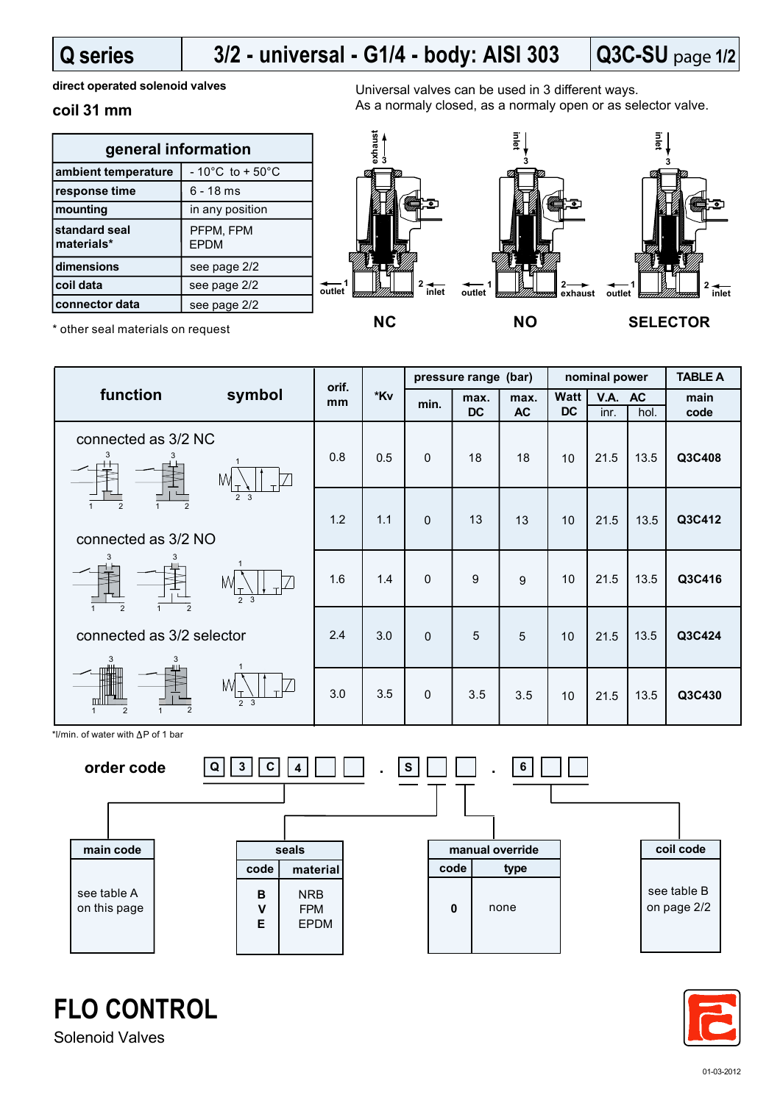# **Q series**

#### **Q3C-SU** page **1/2 3/2 - universal - G1/4 - body: AISI 303**

**direct operated solenoid valves**

## **coil 31 mm**

| general information         |                                      |  |  |  |  |
|-----------------------------|--------------------------------------|--|--|--|--|
| ambient temperature         | $-10^{\circ}$ C to + 50 $^{\circ}$ C |  |  |  |  |
| response time               | $6 - 18$ ms                          |  |  |  |  |
| mounting                    | in any position                      |  |  |  |  |
| standard seal<br>materials* | PFPM, FPM<br><b>EPDM</b>             |  |  |  |  |
| dimensions                  | see page 2/2                         |  |  |  |  |
| coil data                   | see page 2/2                         |  |  |  |  |
| connector data              | see page 2/2                         |  |  |  |  |

Universal valves can be used in 3 different ways. As a normaly closed, as a normaly open or as selector valve.





\* other seal materials on request



**1 outlet**

**exhaust**

 $*$ l/min. of water with  $\Delta P$  of 1 bar





**FLO CONTROL**

Solenoid Valves